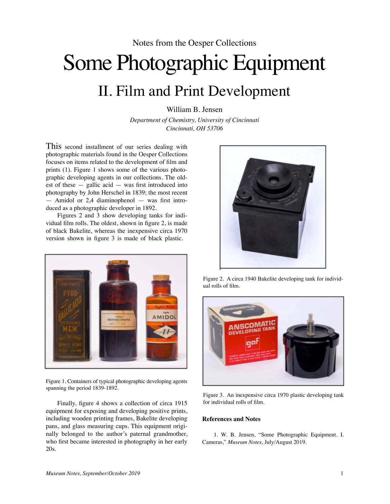## Some Photographic Equipment II. Film and Print Development

William B. Jensen

*Department of Chemistry, University of Cincinnati Cincinnati, OH 53706*

This second installment of our series dealing with photographic materials found in the Oesper Collections focuses on items related to the development of film and prints (1). Figure 1 shows some of the various photographic developing agents in our collections. The oldest of these  $-$  gallic acid  $-$  was first introduced into photography by John Herschel in 1839; the most recent — Amidol or 2,4 diaminophenol — was first introduced as a photographic developer in 1892.

Figures 2 and 3 show developing tanks for individual film rolls. The oldest, shown in figure 2, is made of black Bakelite, whereas the inexpensive circa 1970 version shown in figure 3 is made of black plastic.



Figure 1. Containers of typical photographic developing agents spanning the period 1839-1892.

Finally, figure 4 shows a collection of circa 1915 equipment for exposing and developing positive prints, including wooden printing frames, Bakelite developing pans, and glass measuring cups. This equipment originally belonged to the author's paternal grandmother, who first became interested in photography in her early 20s.



Figure 2. A circa 1940 Bakelite developing tank for individual rolls of film.



Figure 3. An inexpensive circa 1970 plastic developing tank for individual rolls of film.

## **References and Notes**

1. W. B. Jensen, "Some Photographic Equipment. I. Cameras," *Museum Notes*, July/August 2019.